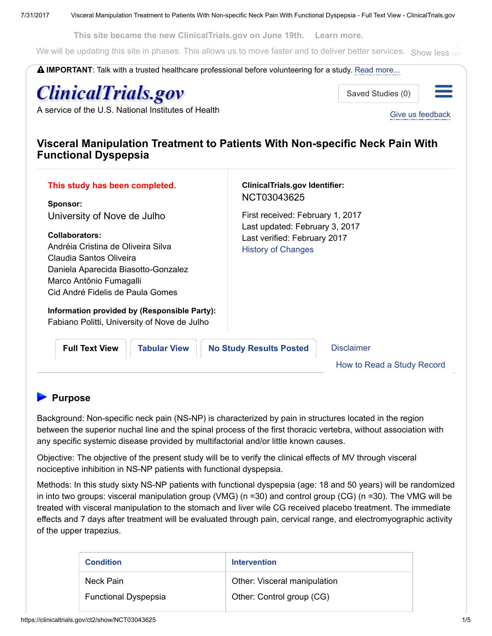This site became the new ClinicalTrials.gov on June 19th. Learn [more.](https://www.nlm.nih.gov/pubs/techbull/mj17/mj17_clinicaltrials_improve_usability.html)

We will be updating this site in phases. This allows us to move faster and to deliver better services. Show less

IMPORTANT: Talk with a trusted healthcare professional before volunteering for a study. Read [more...](https://clinicaltrials.gov/ct2/about-site/disclaimer) **ClinicalTrials.gov** Saved Studies (0) A service of the U.S. National [Institutes](https://clinicaltrials.gov/ct2/home) of Health Give us [feedback](https://survey.foreseeresults.com/survey/display?cid=WyHFr2m0PoaGCBUsi00QIQ==&sid=link-ct) Visceral Manipulation Treatment to Patients With Non-specific Neck Pain With Functional Dyspepsia ClinicalTrials.gov Identifier: This study has been completed. NCT03043625 Sponsor: First received: February 1, 2017 University of Nove de Julho Last updated: February 3, 2017 Collaborators: Last verified: February 2017 Andréia Cristina de Oliveira Silva History of [Changes](https://clinicaltrials.gov/ct2/archive/NCT03043625) Claudia Santos Oliveira Daniela Aparecida Biasotto-Gonzalez Marco Antônio Fumagalli Cid André Fidelis de Paula Gomes Information provided by (Responsible Party): Fabiano Politti, University of Nove de Julho Full Text View | [Tabular](https://clinicaltrials.gov/ct2/show/record/NCT03043625) View | No Study [Results](https://clinicaltrials.gov/ct2/show/results/NCT03043625) Posted | [Disclaimer](https://clinicaltrials.gov/ct2/about-site/disclaimer) How to Read a Study [Record](https://clinicaltrials.gov/ct2/help/how-read-study)

# **Purpose**

Background: Non-specific neck pain (NS-NP) is characterized by pain in structures located in the region between the superior nuchal line and the spinal process of the first thoracic vertebra, without association with any specific systemic disease provided by multifactorial and/or little known causes.

Objective: The objective of the present study will be to verify the clinical effects of MV through visceral nociceptive inhibition in NS-NP patients with functional dyspepsia.

Methods: In this study sixty NS-NP patients with functional dyspepsia (age: 18 and 50 years) will be randomized in into two groups: visceral manipulation group (VMG) (n =30) and control group (CG) (n =30). The VMG will be treated with visceral manipulation to the stomach and liver wile CG received placebo treatment. The immediate effects and 7 days after treatment will be evaluated through pain, cervical range, and electromyographic activity of the upper trapezius.

| <b>Condition</b>            | <b>Intervention</b>          |
|-----------------------------|------------------------------|
| Neck Pain                   | Other: Visceral manipulation |
| <b>Functional Dyspepsia</b> | Other: Control group (CG)    |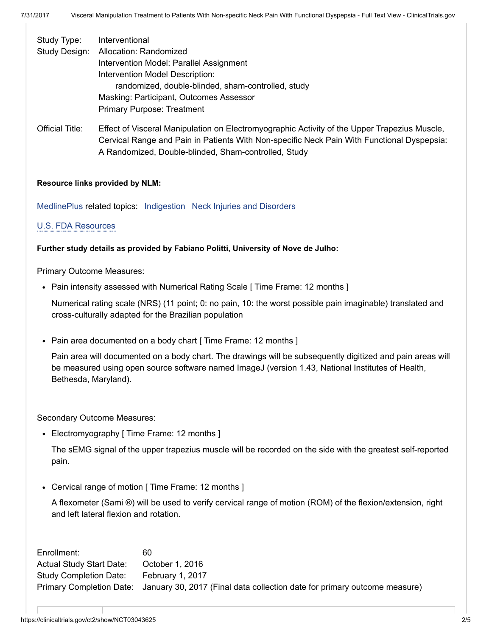| Study Type:   | Interventional                                     |
|---------------|----------------------------------------------------|
| Study Design: | Allocation: Randomized                             |
|               | Intervention Model: Parallel Assignment            |
|               | Intervention Model Description:                    |
|               | randomized, double-blinded, sham-controlled, study |
|               | Masking: Participant, Outcomes Assessor            |
|               | <b>Primary Purpose: Treatment</b>                  |
|               |                                                    |

Official Title: Effect of Visceral Manipulation on Electromyographic Activity of the Upper Trapezius Muscle, Cervical Range and Pain in Patients With Non-specific Neck Pain With Functional Dyspepsia: A Randomized, Double-blinded, Sham-controlled, Study

## Resource links provided by NLM:

[MedlinePlus](https://medlineplus.gov/) related topics: [Indigestion](https://medlineplus.gov/indigestion.html) Neck Injuries and [Disorders](https://medlineplus.gov/neckinjuriesanddisorders.html)

## U.S. FDA [Resources](https://clinicaltrials.gov/ct2/info/fdalinks)

### Further study details as provided by Fabiano Politti, University of Nove de Julho:

Primary Outcome Measures:

• Pain intensity assessed with Numerical Rating Scale [ Time Frame: 12 months ]

Numerical rating scale (NRS) (11 point; 0: no pain, 10: the worst possible pain imaginable) translated and cross-culturally adapted for the Brazilian population

• Pain area documented on a body chart [ Time Frame: 12 months ]

Pain area will documented on a body chart. The drawings will be subsequently digitized and pain areas will be measured using open source software named ImageJ (version 1.43, National Institutes of Health, Bethesda, Maryland).

Secondary Outcome Measures:

• Electromyography [ Time Frame: 12 months ]

The sEMG signal of the upper trapezius muscle will be recorded on the side with the greatest self-reported pain.

• Cervical range of motion [ Time Frame: 12 months ]

A flexometer (Sami ®) will be used to verify cervical range of motion (ROM) of the flexion/extension, right and left lateral flexion and rotation.

Enrollment: 60 Actual Study Start Date: October 1, 2016 Study Completion Date: February 1, 2017 Primary Completion Date: January 30, 2017 (Final data collection date for primary outcome measure)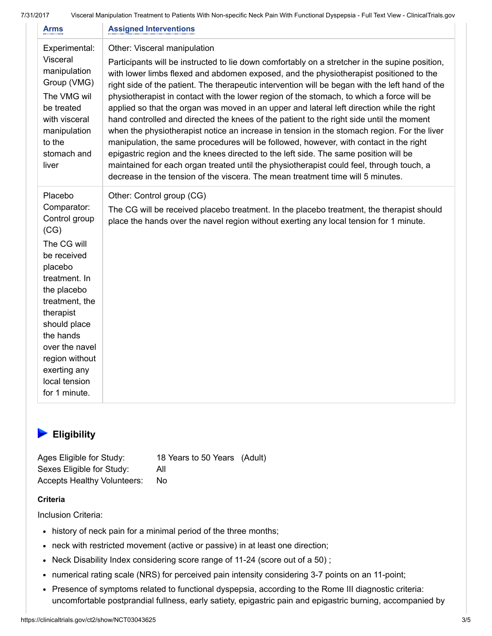7/31/2017 Visceral Manipulation Treatment to Patients With Non-specific Neck Pain With Functional Dyspepsia - Full Text View - ClinicalTrials.gov

| Arms                                                                                                                                                                                                                                                                       | <b>Assigned Interventions</b>                                                                                                                                                                                                                                                                                                                                                                                                                                                                                                                                                                                                                                                                                                                                                                                                                                                                                                                                                                                                                                                      |
|----------------------------------------------------------------------------------------------------------------------------------------------------------------------------------------------------------------------------------------------------------------------------|------------------------------------------------------------------------------------------------------------------------------------------------------------------------------------------------------------------------------------------------------------------------------------------------------------------------------------------------------------------------------------------------------------------------------------------------------------------------------------------------------------------------------------------------------------------------------------------------------------------------------------------------------------------------------------------------------------------------------------------------------------------------------------------------------------------------------------------------------------------------------------------------------------------------------------------------------------------------------------------------------------------------------------------------------------------------------------|
| Experimental:<br>Visceral<br>manipulation<br>Group (VMG)<br>The VMG wil<br>be treated<br>with visceral<br>manipulation<br>to the<br>stomach and<br>liver                                                                                                                   | Other: Visceral manipulation<br>Participants will be instructed to lie down comfortably on a stretcher in the supine position,<br>with lower limbs flexed and abdomen exposed, and the physiotherapist positioned to the<br>right side of the patient. The therapeutic intervention will be began with the left hand of the<br>physiotherapist in contact with the lower region of the stomach, to which a force will be<br>applied so that the organ was moved in an upper and lateral left direction while the right<br>hand controlled and directed the knees of the patient to the right side until the moment<br>when the physiotherapist notice an increase in tension in the stomach region. For the liver<br>manipulation, the same procedures will be followed, however, with contact in the right<br>epigastric region and the knees directed to the left side. The same position will be<br>maintained for each organ treated until the physiotherapist could feel, through touch, a<br>decrease in the tension of the viscera. The mean treatment time will 5 minutes. |
| Placebo<br>Comparator:<br>Control group<br>(CG)<br>The CG will<br>be received<br>placebo<br>treatment. In<br>the placebo<br>treatment, the<br>therapist<br>should place<br>the hands<br>over the navel<br>region without<br>exerting any<br>local tension<br>for 1 minute. | Other: Control group (CG)<br>The CG will be received placebo treatment. In the placebo treatment, the therapist should<br>place the hands over the navel region without exerting any local tension for 1 minute.                                                                                                                                                                                                                                                                                                                                                                                                                                                                                                                                                                                                                                                                                                                                                                                                                                                                   |

# **Eligibility**

Ages Eligible for Study: 18 Years to 50 Years (Adult) Sexes Eligible for Study: All Accepts Healthy Volunteers: No

## **Criteria**

Inclusion Criteria:

- history of neck pain for a minimal period of the three months;
- neck with restricted movement (active or passive) in at least one direction;
- Neck Disability Index considering score range of 11-24 (score out of a 50) ;
- numerical rating scale (NRS) for perceived pain intensity considering 3-7 points on an 11-point;
- Presence of symptoms related to functional dyspepsia, according to the Rome III diagnostic criteria: uncomfortable postprandial fullness, early satiety, epigastric pain and epigastric burning, accompanied by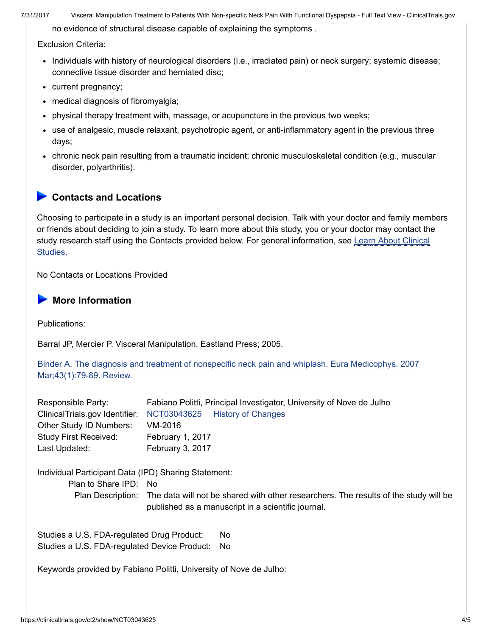no evidence of structural disease capable of explaining the symptoms .

Exclusion Criteria:

- Individuals with history of neurological disorders (i.e., irradiated pain) or neck surgery; systemic disease; connective tissue disorder and herniated disc;
- current pregnancy;
- medical diagnosis of fibromyalgia;
- physical therapy treatment with, massage, or acupuncture in the previous two weeks;
- use of analgesic, muscle relaxant, psychotropic agent, or anti-inflammatory agent in the previous three days;
- chronic neck pain resulting from a traumatic incident; chronic musculoskeletal condition (e.g., muscular disorder, polyarthritis).

## ▶ Contacts and Locations

Choosing to participate in a study is an important personal decision. Talk with your doctor and family members or friends about deciding to join a study. To learn more about this study, you or your doctor may contact the study research staff using the Contacts provided below. For general [information,](https://clinicaltrials.gov/ct2/about-studies/learn) see Learn About Clinical Studies.

No Contacts or Locations Provided

# **More Information**

Publications:

Barral JP, Mercier P. Visceral Manipulation. Eastland Press; 2005.

Binder A. The diagnosis and treatment of nonspecific neck pain and whiplash. Eura Medicophys. 2007 [Mar;43\(1\):79-89.](https://clinicaltrials.gov/ct2/bye/rQoPWwoRrXS9-i-wudNgpQDxudhWudNzlXNiZip9Ei7ym67VZRCwFg05-K4nA6h9Ei4L3BUgWwNG0it.) Review.

| Responsible Party:                                   | Fabiano Politti, Principal Investigator, University of Nove de Julho                                                                                         |  |  |  |
|------------------------------------------------------|--------------------------------------------------------------------------------------------------------------------------------------------------------------|--|--|--|
| ClinicalTrials.gov Identifier:                       | NCT03043625<br><b>History of Changes</b>                                                                                                                     |  |  |  |
| Other Study ID Numbers:                              | VM-2016                                                                                                                                                      |  |  |  |
| <b>Study First Received:</b>                         | February 1, 2017                                                                                                                                             |  |  |  |
| Last Updated:                                        | February 3, 2017                                                                                                                                             |  |  |  |
| Individual Participant Data (IPD) Sharing Statement: |                                                                                                                                                              |  |  |  |
| Plan to Share IPD: No                                |                                                                                                                                                              |  |  |  |
|                                                      | Plan Description: The data will not be shared with other researchers. The results of the study will be<br>published as a manuscript in a scientific journal. |  |  |  |
|                                                      |                                                                                                                                                              |  |  |  |

Studies a U.S. FDA-regulated Drug Product: No Studies a U.S. FDA-regulated Device Product: No

Keywords provided by Fabiano Politti, University of Nove de Julho: